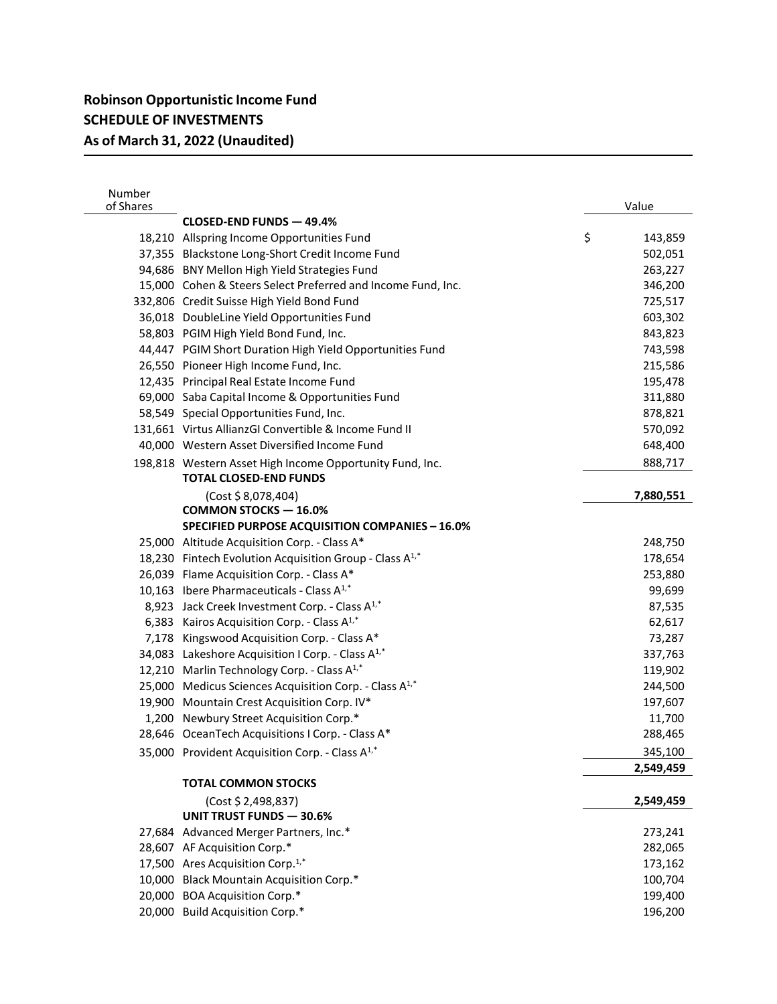| Number<br>of Shares |                                                                     | Value         |
|---------------------|---------------------------------------------------------------------|---------------|
|                     | CLOSED-END FUNDS - 49.4%                                            |               |
|                     | 18,210 Allspring Income Opportunities Fund                          | \$<br>143,859 |
|                     | 37,355 Blackstone Long-Short Credit Income Fund                     | 502,051       |
|                     | 94,686 BNY Mellon High Yield Strategies Fund                        | 263,227       |
|                     | 15,000 Cohen & Steers Select Preferred and Income Fund, Inc.        | 346,200       |
|                     | 332,806 Credit Suisse High Yield Bond Fund                          | 725,517       |
|                     | 36,018 DoubleLine Yield Opportunities Fund                          | 603,302       |
|                     | 58,803 PGIM High Yield Bond Fund, Inc.                              | 843,823       |
|                     | 44,447 PGIM Short Duration High Yield Opportunities Fund            | 743,598       |
|                     | 26,550 Pioneer High Income Fund, Inc.                               | 215,586       |
|                     | 12,435 Principal Real Estate Income Fund                            | 195,478       |
|                     | 69,000 Saba Capital Income & Opportunities Fund                     | 311,880       |
|                     | 58,549 Special Opportunities Fund, Inc.                             | 878,821       |
|                     | 131,661 Virtus AllianzGI Convertible & Income Fund II               | 570,092       |
|                     | 40,000 Western Asset Diversified Income Fund                        | 648,400       |
|                     | 198,818 Western Asset High Income Opportunity Fund, Inc.            | 888,717       |
|                     | <b>TOTAL CLOSED-END FUNDS</b>                                       |               |
|                     | (Cost \$8,078,404)                                                  | 7,880,551     |
|                     | <b>COMMON STOCKS-16.0%</b>                                          |               |
|                     | SPECIFIED PURPOSE ACQUISITION COMPANIES - 16.0%                     |               |
|                     | 25,000 Altitude Acquisition Corp. - Class A*                        | 248,750       |
|                     | 18,230 Fintech Evolution Acquisition Group - Class A <sup>1,*</sup> | 178,654       |
|                     | 26,039 Flame Acquisition Corp. - Class A*                           | 253,880       |
|                     | 10,163 Ibere Pharmaceuticals - Class $A^{1,*}$                      | 99,699        |
|                     | 8,923 Jack Creek Investment Corp. - Class A <sup>1,*</sup>          | 87,535        |
|                     | 6,383 Kairos Acquisition Corp. - Class A <sup>1,*</sup>             | 62,617        |
|                     | 7,178 Kingswood Acquisition Corp. - Class A*                        | 73,287        |
|                     | 34,083 Lakeshore Acquisition I Corp. - Class A <sup>1,*</sup>       | 337,763       |
|                     | 12,210 Marlin Technology Corp. - Class A <sup>1,*</sup>             | 119,902       |
|                     | 25,000 Medicus Sciences Acquisition Corp. - Class A <sup>1,*</sup>  | 244,500       |
|                     | 19,900 Mountain Crest Acquisition Corp. IV*                         | 197,607       |
|                     | 1,200 Newbury Street Acquisition Corp.*                             | 11,700        |
|                     | 28,646 OceanTech Acquisitions I Corp. - Class A*                    | 288,465       |
|                     | 35,000 Provident Acquisition Corp. - Class A <sup>1,*</sup>         | 345,100       |
|                     |                                                                     | 2,549,459     |
|                     | <b>TOTAL COMMON STOCKS</b>                                          |               |
|                     | (Cost \$ 2,498,837)                                                 | 2,549,459     |
|                     | UNIT TRUST FUNDS - 30.6%                                            |               |
|                     | 27,684 Advanced Merger Partners, Inc.*                              | 273,241       |
|                     | 28,607 AF Acquisition Corp.*                                        | 282,065       |
|                     | 17,500 Ares Acquisition Corp. <sup>1,*</sup>                        | 173,162       |
|                     | 10,000 Black Mountain Acquisition Corp.*                            | 100,704       |
|                     | 20,000 BOA Acquisition Corp.*                                       | 199,400       |
|                     | 20,000 Build Acquisition Corp.*                                     | 196,200       |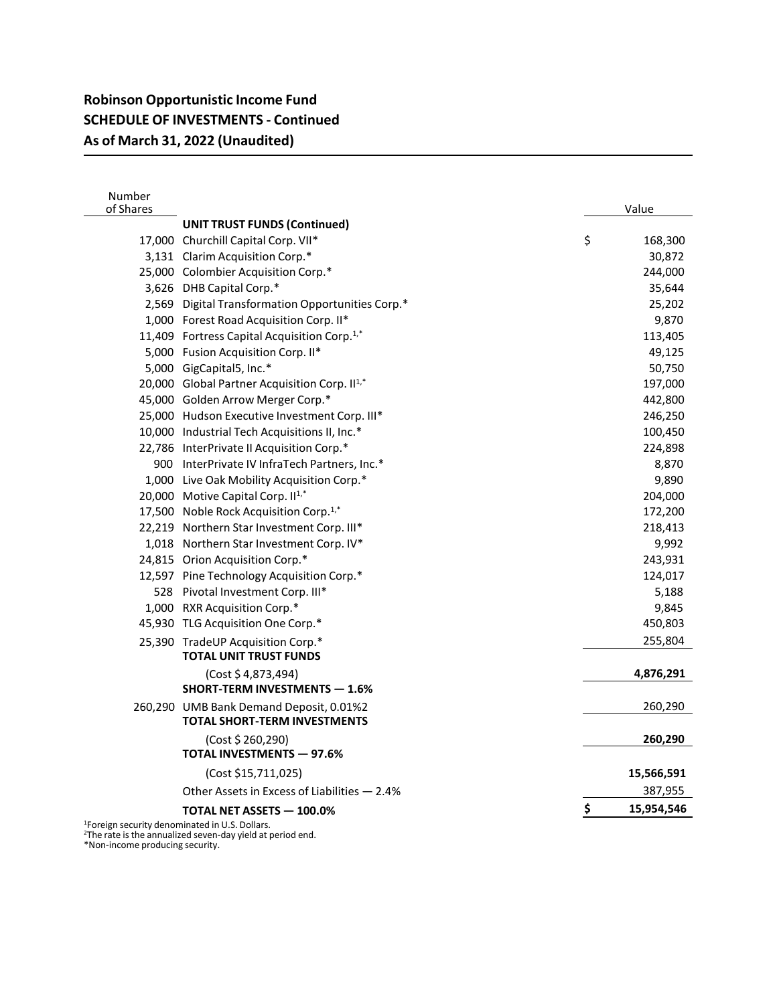## **Robinson Opportunistic Income Fund SCHEDULE OF INVESTMENTS - Continued As of March 31, 2022 (Unaudited)**

| Number<br>of Shares |                                                                                | Value            |  |  |
|---------------------|--------------------------------------------------------------------------------|------------------|--|--|
|                     | <b>UNIT TRUST FUNDS (Continued)</b>                                            |                  |  |  |
|                     | 17,000 Churchill Capital Corp. VII*                                            | \$<br>168,300    |  |  |
|                     | 3,131 Clarim Acquisition Corp.*                                                | 30,872           |  |  |
|                     | 25,000 Colombier Acquisition Corp.*                                            | 244,000          |  |  |
|                     | 3,626 DHB Capital Corp.*                                                       | 35,644           |  |  |
|                     | 2,569 Digital Transformation Opportunities Corp.*                              | 25,202           |  |  |
|                     | 1,000 Forest Road Acquisition Corp. II*                                        | 9,870            |  |  |
|                     | 11,409 Fortress Capital Acquisition Corp. <sup>1,*</sup>                       | 113,405          |  |  |
|                     | 5,000 Fusion Acquisition Corp. II*                                             | 49,125           |  |  |
|                     | 5,000 GigCapital5, Inc.*                                                       | 50,750           |  |  |
|                     | 20,000 Global Partner Acquisition Corp. II <sup>1,*</sup>                      | 197,000          |  |  |
|                     | 45,000 Golden Arrow Merger Corp.*                                              | 442,800          |  |  |
|                     | 25,000 Hudson Executive Investment Corp. III*                                  | 246,250          |  |  |
|                     | 10,000 Industrial Tech Acquisitions II, Inc.*                                  | 100,450          |  |  |
|                     | 22,786 InterPrivate II Acquisition Corp.*                                      | 224,898          |  |  |
|                     | 900 InterPrivate IV InfraTech Partners, Inc.*                                  | 8,870            |  |  |
|                     | 1,000 Live Oak Mobility Acquisition Corp.*                                     | 9,890            |  |  |
|                     | 20,000 Motive Capital Corp. II <sup>1,*</sup>                                  | 204,000          |  |  |
|                     | 17,500 Noble Rock Acquisition Corp. <sup>1,*</sup>                             | 172,200          |  |  |
|                     | 22,219 Northern Star Investment Corp. III*                                     | 218,413          |  |  |
|                     | 1,018 Northern Star Investment Corp. IV*                                       | 9,992            |  |  |
|                     | 24,815 Orion Acquisition Corp.*                                                | 243,931          |  |  |
|                     | 12,597 Pine Technology Acquisition Corp.*                                      | 124,017          |  |  |
|                     | 528 Pivotal Investment Corp. III*                                              | 5,188            |  |  |
|                     | 1,000 RXR Acquisition Corp.*                                                   | 9,845            |  |  |
|                     | 45,930 TLG Acquisition One Corp.*                                              | 450,803          |  |  |
|                     | 25,390 TradeUP Acquisition Corp.*                                              | 255,804          |  |  |
|                     | <b>TOTAL UNIT TRUST FUNDS</b>                                                  |                  |  |  |
|                     | (Cost \$4,873,494)                                                             | 4,876,291        |  |  |
|                     | <b>SHORT-TERM INVESTMENTS - 1.6%</b>                                           |                  |  |  |
|                     | 260,290 UMB Bank Demand Deposit, 0.01%2<br><b>TOTAL SHORT-TERM INVESTMENTS</b> | 260,290          |  |  |
|                     |                                                                                |                  |  |  |
|                     | (Cost \$ 260,290)<br><b>TOTAL INVESTMENTS - 97.6%</b>                          | 260,290          |  |  |
|                     | (Cost \$15,711,025)                                                            | 15,566,591       |  |  |
|                     | Other Assets in Excess of Liabilities - 2.4%                                   | 387,955          |  |  |
|                     | <b>TOTAL NET ASSETS - 100.0%</b>                                               | \$<br>15,954,546 |  |  |
|                     | <sup>1</sup> Foreign security denominated in U.S. Dollars.                     |                  |  |  |

<sup>1</sup>Foreign security denominated in U.S. Dollars.<br><sup>2</sup>The rate is the annualized seven-day yield at period end. \*Non-income producing security.